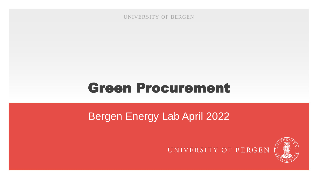UNIVERSITY OF BERGEN

#### Green Procurement

#### Bergen Energy Lab April 2022



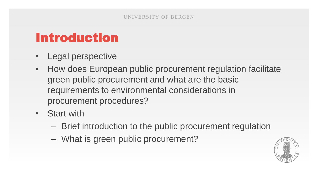#### Introduction

- Legal perspective
- How does European public procurement regulation facilitate green public procurement and what are the basic requirements to environmental considerations in procurement procedures?
- Start with
	- Brief introduction to the public procurement regulation
	- What is green public procurement?

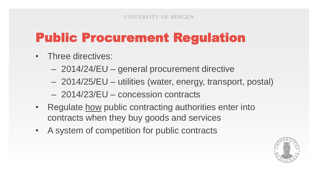# Public Procurement Regulation

- Three directives:
	- 2014/24/EU general procurement directive
	- 2014/25/EU utilities (water, energy, transport, postal)
	- 2014/23/EU concession contracts
- Regulate how public contracting authorities enter into contracts when they buy goods and services
- A system of competition for public contracts

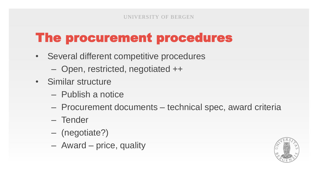# The procurement procedures

- Several different competitive procedures
	- Open, restricted, negotiated ++
- Similar structure
	- Publish a notice
	- Procurement documents technical spec, award criteria
	- Tender
	- (negotiate?)
	- Award price, quality

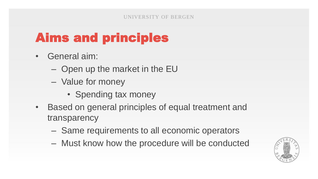# Aims and principles

- General aim:
	- Open up the market in the EU
	- Value for money
		- Spending tax money
- Based on general principles of equal treatment and transparency
	- Same requirements to all economic operators
	- Must know how the procedure will be conducted

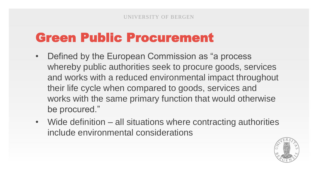#### Green Public Procurement

- Defined by the European Commission as "a process" whereby public authorities seek to procure goods, services and works with a reduced environmental impact throughout their life cycle when compared to goods, services and works with the same primary function that would otherwise be procured."
- Wide definition all situations where contracting authorities include environmental considerations

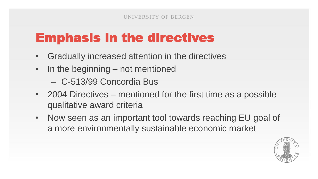### Emphasis in the directives

- Gradually increased attention in the directives
- In the beginning not mentioned
	- C-513/99 Concordia Bus
- 2004 Directives mentioned for the first time as a possible qualitative award criteria
- Now seen as an important tool towards reaching EU goal of a more environmentally sustainable economic market

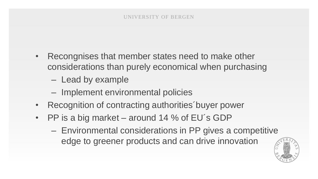- Recongnises that member states need to make other considerations than purely economical when purchasing
	- Lead by example
	- Implement environmental policies
- Recognition of contracting authorities´buyer power
- PP is a big market around 14 % of EU´s GDP
	- Environmental considerations in PP gives a competitive edge to greener products and can drive innovation

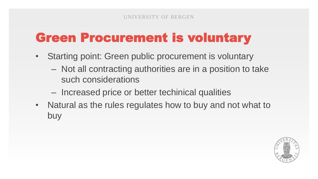## Green Procurement is voluntary

- Starting point: Green public procurement is voluntary
	- Not all contracting authorities are in a position to take such considerations
	- Increased price or better techinical qualities
- Natural as the rules regulates how to buy and not what to buy

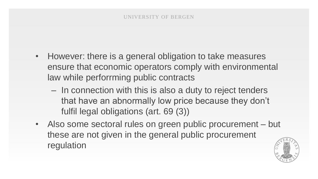- However: there is a general obligation to take measures ensure that economic operators comply with environmental law while perforrming public contracts
	- In connection with this is also a duty to reject tenders that have an abnormally low price because they don't fulfil legal obligations (art. 69 (3))
- Also some sectoral rules on green public procurement but these are not given in the general public procurement regulation

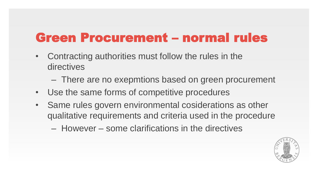#### Green Procurement – normal rules

- Contracting authorities must follow the rules in the directives
	- There are no exepmtions based on green procurement
- Use the same forms of competitive procedures
- Same rules govern environmental cosiderations as other qualitative requirements and criteria used in the procedure
	- However some clarifications in the directives

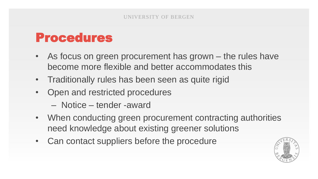#### Procedures

- As focus on green procurement has grown the rules have become more flexible and better accommodates this
- Traditionally rules has been seen as quite rigid
- Open and restricted procedures
	- Notice tender -award
- When conducting green procurement contracting authorities need knowledge about existing greener solutions
- Can contact suppliers before the procedure

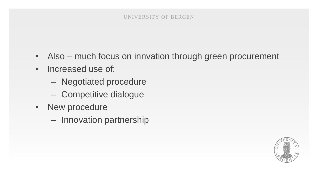#### UNIVERSITY OF BERGEN

- Also much focus on innvation through green procurement
- Increased use of:
	- Negotiated procedure
	- Competitive dialogue
- New procedure
	- Innovation partnership

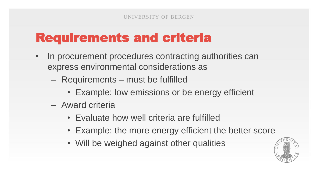## Requirements and criteria

- In procurement procedures contracting authorities can express environmental considerations as
	- Requirements must be fulfilled
		- Example: low emissions or be energy efficient
	- Award criteria
		- Evaluate how well criteria are fulfilled
		- Example: the more energy efficient the better score
		- Will be weighed against other qualities

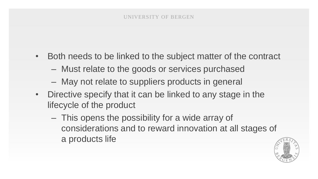- Both needs to be linked to the subject matter of the contract
	- Must relate to the goods or services purchased
	- May not relate to suppliers products in general
- Directive specify that it can be linked to any stage in the lifecycle of the product
	- This opens the possibility for a wide array of considerations and to reward innovation at all stages of a products life

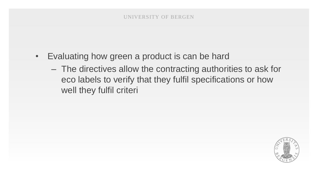- Evaluating how green a product is can be hard
	- The directives allow the contracting authorities to ask for eco labels to verify that they fulfil specifications or how well they fulfil criteri